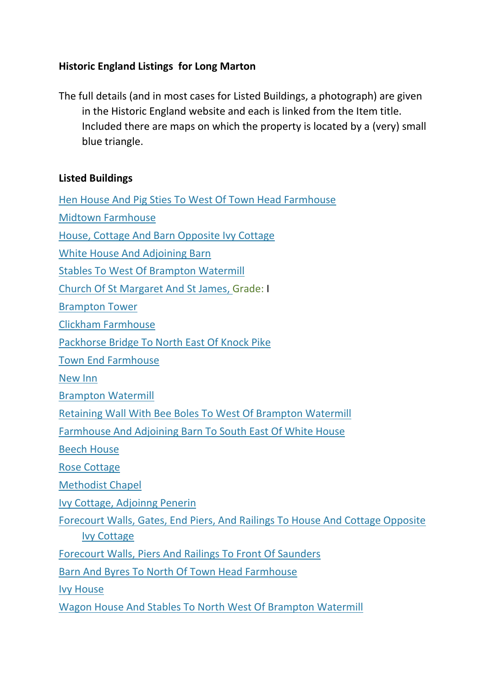## **Historic England Listings for Long Marton**

The full details (and in most cases for Listed Buildings, a photograph) are given in the Historic England website and each is linked from the Item title. Included there are maps on which the property is located by a (very) small blue triangle.

## **Listed Buildings**

[Hen House And Pig Sties To West Of Town Head Farmhouse](https://historicengland.org.uk/listing/the-list/list-entry/1049047) [Midtown Farmhouse](https://historicengland.org.uk/listing/the-list/list-entry/1049073) [House, Cottage And Barn Opposite Ivy Cottage](https://historicengland.org.uk/listing/the-list/list-entry/1049112)

[White House And Adjoining Barn](https://historicengland.org.uk/listing/the-list/list-entry/1067770)

[Stables To West Of Brampton Watermill](https://historicengland.org.uk/listing/the-list/list-entry/1068846)

[Church Of St Margaret And St James,](https://historicengland.org.uk/listing/the-list/list-entry/1075165) Grade: I

[Brampton Tower](https://historicengland.org.uk/listing/the-list/list-entry/1144942)

[Clickham Farmhouse](https://historicengland.org.uk/listing/the-list/list-entry/1144943)

[Packhorse Bridge To North East Of Knock Pike](https://historicengland.org.uk/listing/the-list/list-entry/1144944)

[Town End Farmhouse](https://historicengland.org.uk/listing/the-list/list-entry/1144945)

[New Inn](https://historicengland.org.uk/listing/the-list/list-entry/1144946)

[Brampton Watermill](https://historicengland.org.uk/listing/the-list/list-entry/1144947)

[Retaining Wall With Bee Boles To West Of Brampton Watermill](https://historicengland.org.uk/listing/the-list/list-entry/1144948)

[Farmhouse And Adjoining Barn To South East Of White House](https://historicengland.org.uk/listing/the-list/list-entry/1144949)

[Beech House](https://historicengland.org.uk/listing/the-list/list-entry/1144950)

[Rose Cottage](https://historicengland.org.uk/listing/the-list/list-entry/1144951)

[Methodist Chapel](https://historicengland.org.uk/listing/the-list/list-entry/1144952)

[Ivy Cottage, Adjoinng Penerin](https://historicengland.org.uk/listing/the-list/list-entry/1144953)

[Forecourt Walls, Gates, End Piers, And Railings To House And Cottage Opposite](https://historicengland.org.uk/listing/the-list/list-entry/1144954)  [Ivy Cottage](https://historicengland.org.uk/listing/the-list/list-entry/1144954)

[Forecourt Walls, Piers And Railings To Front Of Saunders](https://historicengland.org.uk/listing/the-list/list-entry/1144955)

[Barn And Byres To North Of Town Head Farmhouse](https://historicengland.org.uk/listing/the-list/list-entry/1144956)

[Ivy House](https://historicengland.org.uk/listing/the-list/list-entry/1262005)

[Wagon House And Stables To North West Of Brampton Watermill](https://historicengland.org.uk/listing/the-list/list-entry/1326963)